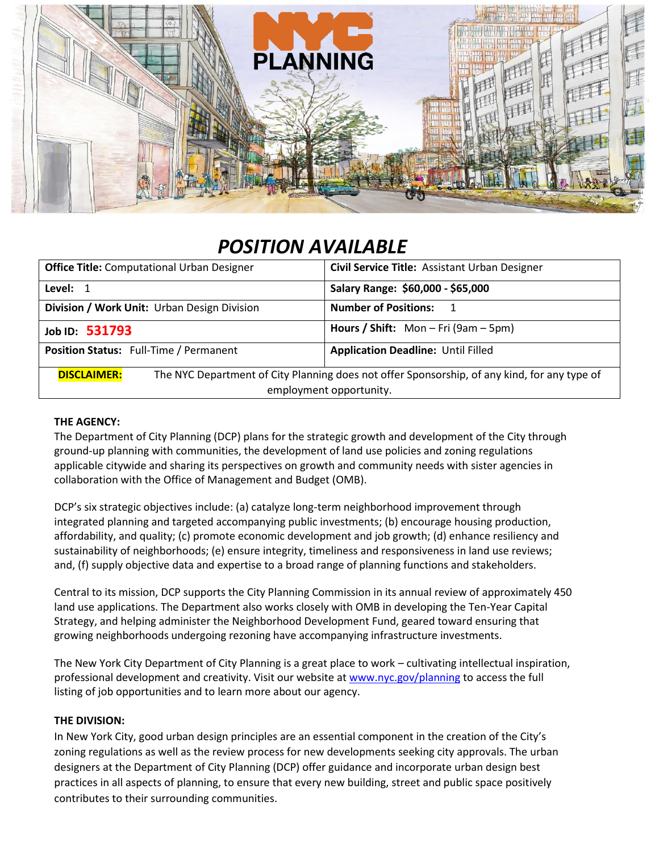

# *POSITION AVAILABLE*

| <b>Office Title:</b> Computational Urban Designer                                                                  | Civil Service Title: Assistant Urban Designer |
|--------------------------------------------------------------------------------------------------------------------|-----------------------------------------------|
| Level: 1                                                                                                           | Salary Range: \$60,000 - \$65,000             |
| Division / Work Unit: Urban Design Division                                                                        | <b>Number of Positions:</b><br>$\blacksquare$ |
| Job ID: 531793                                                                                                     | <b>Hours / Shift:</b> Mon – Fri (9am – 5pm)   |
| Position Status: Full-Time / Permanent                                                                             | <b>Application Deadline: Until Filled</b>     |
| The NYC Department of City Planning does not offer Sponsorship, of any kind, for any type of<br><b>DISCLAIMER:</b> |                                               |
| employment opportunity.                                                                                            |                                               |

### **THE AGENCY:**

The Department of City Planning (DCP) plans for the strategic growth and development of the City through ground-up planning with communities, the development of land use policies and zoning regulations applicable citywide and sharing its perspectives on growth and community needs with sister agencies in collaboration with the Office of Management and Budget (OMB).

DCP's six strategic objectives include: (a) catalyze long-term neighborhood improvement through integrated planning and targeted accompanying public investments; (b) encourage housing production, affordability, and quality; (c) promote economic development and job growth; (d) enhance resiliency and sustainability of neighborhoods; (e) ensure integrity, timeliness and responsiveness in land use reviews; and, (f) supply objective data and expertise to a broad range of planning functions and stakeholders.

Central to its mission, DCP supports the City Planning Commission in its annual review of approximately 450 land use applications. The Department also works closely with OMB in developing the Ten-Year Capital Strategy, and helping administer the Neighborhood Development Fund, geared toward ensuring that growing neighborhoods undergoing rezoning have accompanying infrastructure investments.

The New York City Department of City Planning is a great place to work – cultivating intellectual inspiration, professional development and creativity. Visit our website a[t www.nyc.gov/planning](http://www.nyc.gov/planning) to access the full listing of job opportunities and to learn more about our agency.

#### **THE DIVISION:**

In New York City, good urban design principles are an essential component in the creation of the City's zoning regulations as well as the review process for new developments seeking city approvals. The urban designers at the Department of City Planning (DCP) offer guidance and incorporate urban design best practices in all aspects of planning, to ensure that every new building, street and public space positively contributes to their surrounding communities.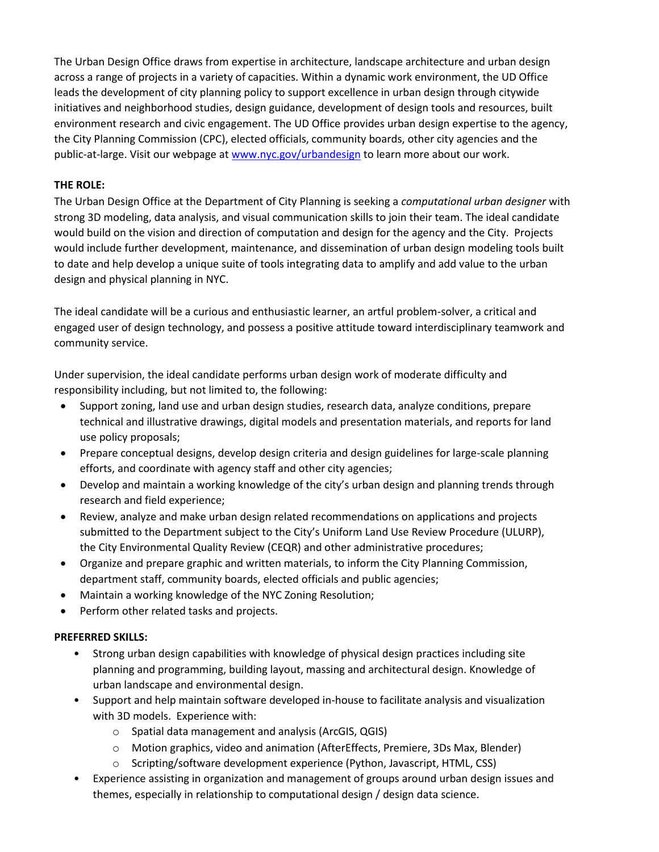The Urban Design Office draws from expertise in architecture, landscape architecture and urban design across a range of projects in a variety of capacities. Within a dynamic work environment, the UD Office leads the development of city planning policy to support excellence in urban design through citywide initiatives and neighborhood studies, design guidance, development of design tools and resources, built environment research and civic engagement. The UD Office provides urban design expertise to the agency, the City Planning Commission (CPC), elected officials, community boards, other city agencies and the public-at-large. Visit our webpage at [www.nyc.gov/urbandesign](http://www.nyc.gov/urbandesign) to learn more about our work.

## **THE ROLE:**

The Urban Design Office at the Department of City Planning is seeking a *computational urban designer* with strong 3D modeling, data analysis, and visual communication skills to join their team. The ideal candidate would build on the vision and direction of computation and design for the agency and the City. Projects would include further development, maintenance, and dissemination of urban design modeling tools built to date and help develop a unique suite of tools integrating data to amplify and add value to the urban design and physical planning in NYC.

The ideal candidate will be a curious and enthusiastic learner, an artful problem-solver, a critical and engaged user of design technology, and possess a positive attitude toward interdisciplinary teamwork and community service.

Under supervision, the ideal candidate performs urban design work of moderate difficulty and responsibility including, but not limited to, the following:

- Support zoning, land use and urban design studies, research data, analyze conditions, prepare technical and illustrative drawings, digital models and presentation materials, and reports for land use policy proposals;
- Prepare conceptual designs, develop design criteria and design guidelines for large-scale planning efforts, and coordinate with agency staff and other city agencies;
- Develop and maintain a working knowledge of the city's urban design and planning trends through research and field experience;
- Review, analyze and make urban design related recommendations on applications and projects submitted to the Department subject to the City's Uniform Land Use Review Procedure (ULURP), the City Environmental Quality Review (CEQR) and other administrative procedures;
- Organize and prepare graphic and written materials, to inform the City Planning Commission, department staff, community boards, elected officials and public agencies;
- Maintain a working knowledge of the NYC Zoning Resolution;
- Perform other related tasks and projects.

# **PREFERRED SKILLS:**

- Strong urban design capabilities with knowledge of physical design practices including site planning and programming, building layout, massing and architectural design. Knowledge of urban landscape and environmental design.
- Support and help maintain software developed in-house to facilitate analysis and visualization with 3D models. Experience with:
	- o Spatial data management and analysis (ArcGIS, QGIS)
	- o Motion graphics, video and animation (AfterEffects, Premiere, 3Ds Max, Blender)
	- o Scripting/software development experience (Python, Javascript, HTML, CSS)
- Experience assisting in organization and management of groups around urban design issues and themes, especially in relationship to computational design / design data science.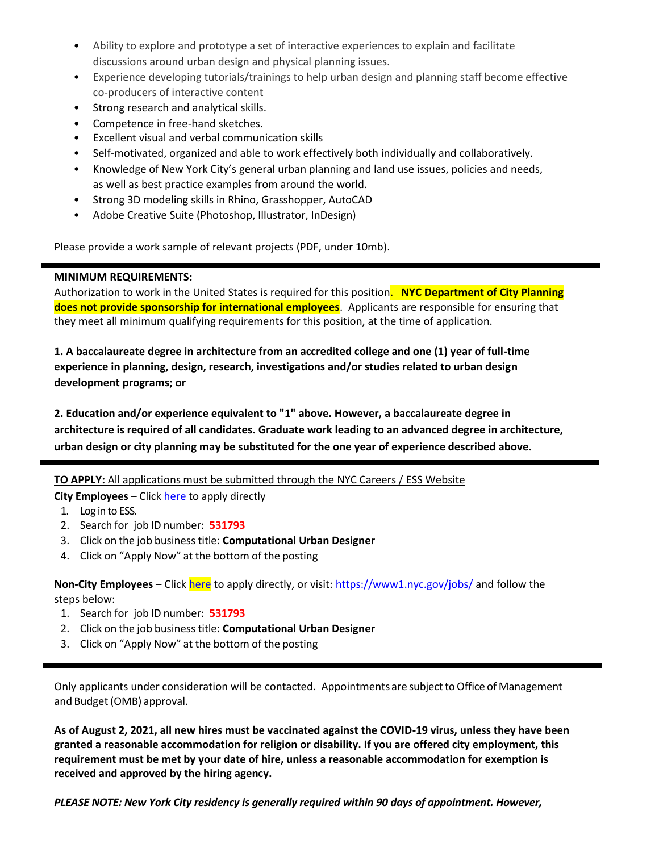- Ability to explore and prototype a set of interactive experiences to explain and facilitate discussions around urban design and physical planning issues.
- Experience developing tutorials/trainings to help urban design and planning staff become effective co-producers of interactive content
- Strong research and analytical skills.
- Competence in free-hand sketches.
- Excellent visual and verbal communication skills
- Self-motivated, organized and able to work effectively both individually and collaboratively.
- Knowledge of New York City's general urban planning and land use issues, policies and needs, as well as best practice examples from around the world.
- Strong 3D modeling skills in Rhino, Grasshopper, AutoCAD
- Adobe Creative Suite (Photoshop, Illustrator, InDesign)

Please provide a work sample of relevant projects (PDF, under 10mb).

#### **MINIMUM REQUIREMENTS:**

Authorization to work in the United States is required for this position. **NYC Department of City Planning does not provide sponsorship for international employees**. Applicants are responsible for ensuring that they meet all minimum qualifying requirements for this position, at the time of application.

**1. A baccalaureate degree in architecture from an accredited college and one (1) year of full-time experience in planning, design, research, investigations and/or studies related to urban design development programs; or**

**2. Education and/or experience equivalent to "1" above. However, a baccalaureate degree in architecture is required of all candidates. Graduate work leading to an advanced degree in architecture, urban design or city planning may be substituted for the one year of experience described above.**

# **TO APPLY:** All applications must be submitted through the NYC Careers / ESS Website

**City Employees** – Click [here](https://hrb.nycaps.nycnet/psp/hcmprd/EMPLOYEE/HRMS/c/HRS_HRAM_EMP.HRS_CE.GBL?PORTALPARAM_PTCNAV=HC_HRS_CE_GBL&EOPP.SCNode=HRMS&EOPP.SCPortal=EMPLOYEE&EOPP.SCName=ADMN_EMPLOYEE_SELF_SERVICE&EOPP.SCLabel=&EOPP.SCPTcname=PT_PTPP_SCFNAV_BASEPAGE_SCR&FolderPath=PORTAL_ROOT_OBJECT.CO_EMPLOYEE_SELF_SERVICE.HC_HRS_EE_SELF_SERVICE_GBL.HC_HRS_CE_GBL&IsFolder=false) to apply directly

- 1. Log in to ESS.
- 2. Search for job ID number: **531793**
- 3. Click on the job business title: **Computational Urban Designer**
- 4. Click on "Apply Now" at the bottom of the posting

**Non-City Employees** – Clic[k here](https://a127-jobs.nyc.gov/psc/nycjobs/EMPLOYEE/HRMS/c/HRS_HRAM.HRS_APP_SCHJOB.GBL?Page=HRS_APP_JBPST&Action=U&FOCUS=Applicant&SiteId=1&JobOpeningId=399969&PostingSeq=1) to apply directly, or visit:<https://www1.nyc.gov/jobs/> and follow the steps below:

- 1. Search for job ID number: **531793**
- 2. Click on the job business title: **Computational Urban Designer**
- 3. Click on "Apply Now" at the bottom of the posting

Only applicants under consideration will be contacted.Appointments are subjecttoOffice of Management and Budget(OMB) approval.

**As of August 2, 2021, all new hires must be vaccinated against the COVID-19 virus, unless they have been granted a reasonable accommodation for religion or disability. If you are offered city employment, this requirement must be met by your date of hire, unless a reasonable accommodation for exemption is received and approved by the hiring agency.**

*PLEASE NOTE: New York City residency is generally required within 90 days of appointment. However,*